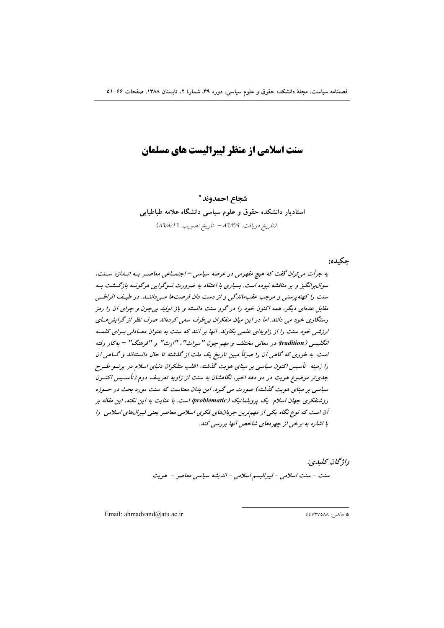# سنت اسلامی از منظر لیبرالیست های مسلمان

شجاع احمدوند \* استادیار دانشکده حقوق و علوم سیاسی دانشگاه علامه طباطبایی (تاريخ دريافت: ٨٦/٣/٩ – تاريخ تصويب: ٦ ٨٦/١/١)

واژگان كليدي: سنت - سنت اسلامی - لیبرالیسم اسلامی - اندیشه سیاسی معاصر - هویت

Email: ahmadvand@atu.ac.ir

# فاكس: ٤٤٧٣٧٥٨٨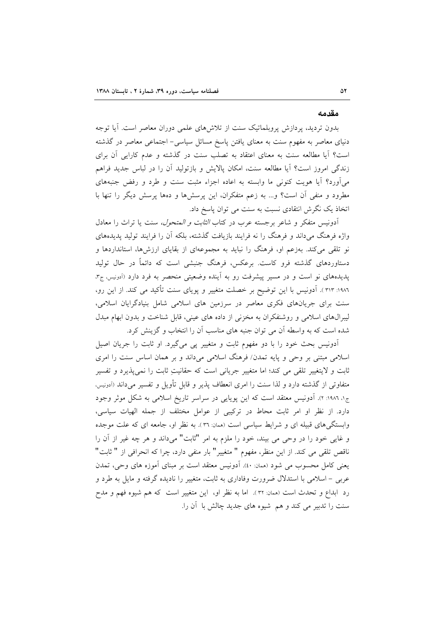#### مقدمه

بدون تردید، پردازش پروبلماتیک سنت از تلاشهای علمی دوران معاصر است. آیا توجه دنیای معاصر به مفهوم سنت به معنای یافتن پاسخ مسائل سیاسی– اجتماعی معاصر در گذشته است؟ آیا مطالعه سنت به معنای اعتقاد به تصلب سنت در گذشته و عدم کارایی آن برای زندگی امروز است؟ آیا مطالعه سنت، امکان پالایش و بازتولید آن را در لباس جدید فراهم میآورد؟ آیا هویت کنونی ما وابسته به اعاده اجزاء مثبت سنت و طرد و رفض جنبههای مطرود و منفی آن است؟ و… به زعم متفکران، این پرسشها و دهها پرسش دیگر را تنها با اتخاذ یک نگرش انتقادی نسبت به سنت می توان پاسخ داد.

آدونیس متفکر و شاعر برجسته عرب در کتاب *الثابت و المتحول،* سنت یا تراث را معادل واژه فرهنگ می داند و فرهنگ را نه فرایند بازیافت گذشته، بلکه آن را فرایند تولید پدیدههای نو تلقی می کند. بهزعم او، فرهنگ را نباید به مجموعهای از بقایای ارزشها، استانداردها و دستاوردهای گذشته فرو کاست. برعکس، فرهنگ جنبشی است که دائماً در حال تولید پدیدههای نو است و در مسیر پیشرفت رو به آینده وضعیتی منحصر به فرد دارد (اَدونیس، ج۳، ١٩٨٦: ٣١٣ ). أدونيس با اين توضيح بر خصلت متغيير و پوياى سنت تأكيد مى كند. از اين رو، سنت برای جریانهای فکری معاصر در سرزمین های اسلامی شامل بنیادگرایان اسلامی، لیبرال های اسلامی و روشنفکران به مخزنی از داده های عینی، قابل شناخت و بدون ابهام مبدل شده است که به واسطه آن می توان جنبه های مناسب آن را انتخاب و گزینش کرد.

آدونیس بحث خود را با دو مفهوم ثابت و متغییر پی میگیرد. او ثابت را جریان اصیل اسلامی مبتنی بر وحی و پایه تمدن/ فرهنگ اسلامی میداند و بر همان اساس سنت را امری ثابت و لایتغییر تلقی می کند؛ اما متغییر جریانی است که حقانیتِ ثابت را نمی پذیرد و تفسیر متفاوتی از گذشته دارد و لذا سنت را امری انعطاف پذیر و قابل تأویل و تفسیر میداند (اَدونیس، ج۱، ۱۹۸۲: ۲). آدونیس معتقد است که این پویایی در سراسر تاریخ اسلامی به شکل موثر وجود دارد. از نظر او امر ثابت محاط در تركيبي از عوامل مختلف از جمله الهيات سياسي، وابستگیهای قبیله ای و شرایط سیاسی است (ممان: ۳٦). به نظر او، جامعه ای که علت موجده و غایی خود را در وحی می بیند، خود را ملزم به امر "ثابت" میداند و هر چه غیر از آن را ناقص تلقی می کند. از این منظر، مفهوم " متغییر" بار منفی دارد، چرا که انحرافی از " ثابت" يعني كامل محسوب مي شود (همان: ٤٠). أدونيس معتقد است بر مبناي أموزه هاي وحي، تمدن عربي – اسلامي با استدلال ضرورت وفاداري به ثابت، متغيير را ناديده گرفته و مايل به طرد و رد آبداع و تحدث است (ممان: ٣٢). اما به نظر او، اين متغيير است كه هم شيوه فهم و مدح سنت را تدبیر می کند و هم شیوه های جدید چالش با آن را.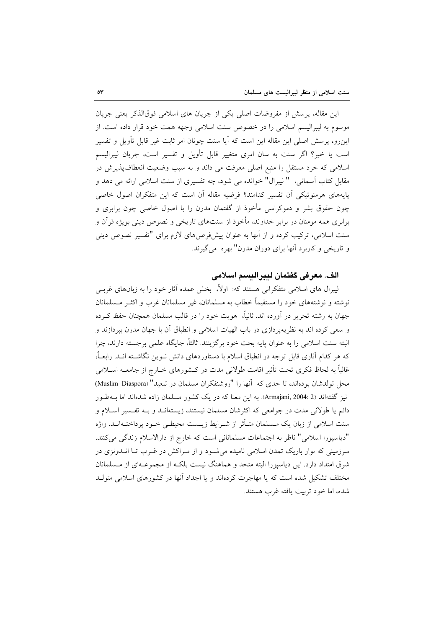این مقاله، پرسش از مفروضات اصلی یکی از جریان های اسلامی فوقالذکر یعنی جریان موسوم به ليبراليسم اسلامي را در خصوص سنت اسلامي وجهه همت خود قرار داده است. از این٫و، پرسش اصلی این مقاله این است که آیا سنت چونان امر ثابت غیر قابل تأویل و تفسیر است یا خیر؟ اگر سنت به سان امری متغییر قابل تأویل و تفسیر است، جریان لیبرالیسم اسلامی که خرد مستقل را منبع اصلی معرفت می داند و به سبب وضعیت انعطاف پذیرش در مقابل کتاب اسمانی، " لیبرال" خوانده می شود، چه تفسیری از سنت اسلامی ارائه می دهد و پایههای هرمنوتیکی آن تفسیر کدامند؟ فرضیه مقاله آن است که این متفکران اصول خاصی چون حقوق بشر و دموکراسی مأخوذ از گفتمان مدرن را با اصول خاصی چون برابری و برابری همه مومنان در برابر خداوند، مأخوذ از سنتهای تاریخی و نصوص دینی بویژه قرآن و سنت اسلامی، ترکیب کرده و از آنها به عنوان پیشفرضهای لازم برای "تفسیر نصوص دینی و تاریخی و کاربرد آنها برای دوران مدرن" بهره می گیرند.

## الف. معرفي گفتمان ليبراليسم اسلامي

لیبرال های اسلامی متفکرانی هستند که: اولاً، بخش عمده آثار خود را به زبانهای غربـی نوشته و نوشتههای خود را مستقیماً خطاب به مسلمانان، غیر مسلمانان غرب و اکثـر مـسلمانان جهان به رشته تحریر در آورده اند. ثانیاً، هویت خود را در قالب مسلمان همچنان حفظ کـرده و سعی کرده اند به نظریهپردازی در باب الهیات اسلامی و انطباق آن با جهان مدرن بپردازند و البته سنت اسلامی را به عنوان پایه بحث خود برگزینند. ثالثاً، جایگاه علمی برجسته دارند، چرا که هر کدام آثاری قابل توجه در انطباق اسلام با دستاوردهای دانش نـوین نگاشـته انـد. رابعـاً، غالباً به لحاظ فکری تحت تأثیر اقامت طولانی مدت در کـشورهای خــارج از جامعــه اســلامی محل تولدشان بودهاند، تا حدى كه آنها را "روشنفكران مسلمان در تبعيد" (Muslim Diaspora) نیز گفتهاند (2 :Armajani, 2004). به این معنا که در یک کشور مسلمان زاده شدهاند اما بــهطـور دائم یا طولانی مدت در جوامعی که اکثرشان مسلمان نیستند، زیستهانـد و بـه تفـسیر اسـلام و سنت اسلامی از زبان یک مــسلمان متـأثر از شــرایط زیــست محیطــی خــود پرداختــهانــد. واژه "دیاسپورا اسلامی" ناظر به اجتماعات مسلمانانی است که خارج از دارالاسلام زندگی میکنند. سرزمینی که نوار باریک تمدن اسلامی نامیده می شـود و از مـراکش در غـرب تــا انــدونزی در شرق امتداد دارد. این دیاسیورا البته متحد و هماهنگ نیست بلکـه از مجموعـهای از مـسلمانان مختلف تشکیل شده است که یا مهاجرت کردهاند و یا اجداد آنها در کشورهای اسلامی متولید شده، اما خود تربيت يافته غرب هستند.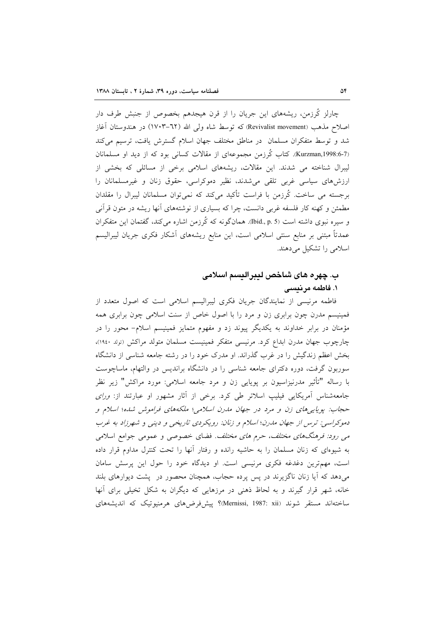چارلز کُرزمن، ریشههای این جریان را از قرن هیجدهم بخصوص از جنبش طرف دار اصلاح مذهب (Revivalist movement) که توسط شاه ولی الله (٦٢–١٧٠٣) در هندوستان آغاز شد و توسط متفکران مسلمان در مناطق مختلف جهان اسلام گسترش یافت، ترسیم میکند (Kurzman,1998:6-7). كتاب كُرزمن مجموعهاي از مقالات كساني بود كه از ديد او مسلمانان لیبرال شناخته می شدند. این مقالات، ریشههای اسلامی برخی از مسائلی که بخشی از ارزشهای سیاسی غربی تلقی می شدند، نظیر دموکراسی، حقوق زنان و غیرمسلمانان را برجسته می ساخت. کُرزمن با فراست تأکید میکند که نمیتوان مسلمانان لیبرال را مقلدان مطمئن و کهنه کار فلسفه غربی دانست، چرا که بسیاری از نوشتههای آنها ریشه در متون قرآنی و سیره نبوی داشته است (Ibid., p. 5). همانگونه که کُرزمن اشاره میکند، گفتمان این متفکران عمدتاً مبتنی بر منابع سنتی اسلامی است، این منابع ریشههای آشکار فکری جریان لیبرالیسم اسلامی را تشکیل می دهند.

# ب. چهره های شاخص لیبرالیسم اسلامی ۱. فاطمه مرنیسی

فاطمه مرنیسی از نمایندگان جریان فکری لیبرالیسم اسلامی است که اصول متعدد از فمینیسم مدرن چون برابری زن و مرد را با اصول خاص از سنت اسلامی چون برابری همه مؤمنان در برابر خداوند به یکدیگر پیوند زد و مفهوم متمایز فمینیسم اسلام– محور را در چارچوب جهان مدرن ابداع کرد. مرنیسی متفکر فمینیست مسلمان متولد مراکش (تولد ١٩٤٠)، بخش اعظم زندگیش را در غرب گذراند. او مدرک خود را در رشته جامعه شناسی از دانشگاه سوربون گرفت، دوره دکترای جامعه شناسی را در دانشگاه براندیس در والتهام، ماساچوست با رساله "تأثير مدرنيزاسيون بر پويايي زن و مرد جامعه اسلامي: مورد مراكش" زير نظر جامعهشناس آمریکایی فیلیپ اسلاتر طی کرد. برخی از آثار مشهور او عبارتند از: *ورای* حجاب: یوپایی های زن و مرد در جهان مدرن اسلامی؛ ملکههای فراموش شده؛ اسلام و دموکراسی: ترس از جهان مدرن؛ اسلام و زنان: رویکردی تاریخی و دینی و شهرزاد به غرب می رود: فرهنگهای مختلف، حرم های مختلف. فضای خصوصی و عمومی جوامع اسلامی به شیوهای که زنان مسلمان را به حاشیه رانده و رفتار آنها را تحت کنترل مداوم قرار داده است، مهمترین دغدغه فکری مرنیسی است. او دیدگاه خود را حول این پرسش سامان میدهد که آیا زنان ناگزیرند در پس پرده حجاب، همچنان محصور در پشت دیوارهای بلند خانه، شهر قرار گیرند و به لحاظ ذهنی در مرزهایی که دیگران به شکل تخیلی برای آنها ساختهاند مستقر شوند (Mernissi, 1987: xii)؟ ييش فرض هاي هرمنيوتيک که انديشههاي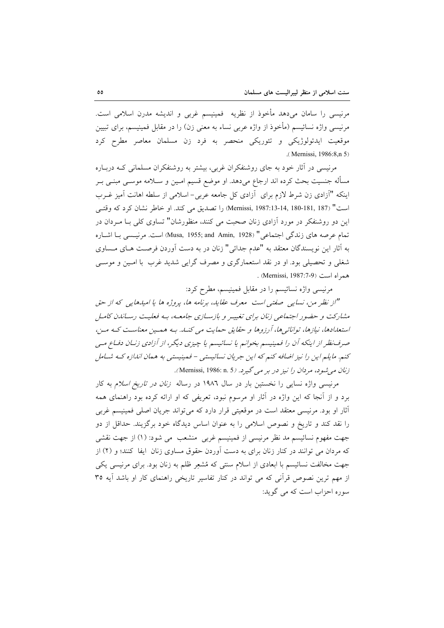مرنیسی را سامان میدهد مأخوذ از نظریه ً فمینیسم غربی و اندیشه مدرن اسلامی است. مرنیسی واژه نسائیسم (مأخوذ از واژه عربی نساء به معنی زن) را در مقابل فمینیسم، برای تبیین موقعیت ایدئولوژیکی و تئوریکی منحصر به فرد زن مسلمان معاصر مطرح کرد (Mernissi, 1986:8.n 5)

مرنیسی در آثار خود به جای روشنفکران غربی، بیشتر به روشنفکران مسلمانی کـه دربـاره مسأله جنسیت بحث کرده اند ارجاع میدهد. او موضع قسیم امـین و ســلامه موســی مبنــی بــر اینکه "آزادی زن شرط لازم برای آزادی کل جامعه عربی- اسلامی از سلطه اهانت آمیز غـرب است" (187 .181-180 .187-13-13 .1987) را تصديق مي كند. او خاطر نشان كرد كه وقتبي این دو روشنفکر در مورد آزادی زنان صحبت می کنند، منظورشان" تساوی کلی بـا مـردان در تمام عرصه هاي زندگي اجتماعي" (Musa, 1955; and Amin, 1928) است. مرنيسبي بـا اشـاره به آثار این نویسندگان معتقد به "عدم جدائی" زنان در به دست آوردن فرصت هـای مــساوی شغلی و تحصیلی بود. او در نقد استعمارگری و مصرف گرایی شدید غرب با امـین و موسـی همراه است (Mernissi, 1987:7-9).

مرنیسی واژه نسائیسم را در مقابل فمینیسم، مطرح کرد:

"از نظر من، نسایی صفتی است معرف عقاید، برنامه ها، پروژه ها یا امیدهایی که از حق مشارکت و حضور اجتماعی زنان برای تغییـر و بازسـازی جامعـه، بـه فعلیـت رسـاندن کامـل استعدادها، نیازها، توانائیها، آرزوها و حقایق حمایت می کنــا. بـه همـین معناسـت کـه مـن، صرف نظر از اینکه آن را فمینیسم بخوانم یا نسائیسم یا چیزی دیگر، از آزادی زنـان دفـاع مـی کنم. مایلم این را نیز اضافه کنم که این جریان نسائیستی – فمینیستی به همان اندازه کـه شـامل زنان می شود، مردان را نیز در بر می گیرد. (Mernissi, 1986: n. 5).

مرنیسی واژه نسایی را نخستین بار در سال ۱۹۸۲ در رساله *زنان در تاریخ اسلام* به کار برد و از آنجا که این واژه در آثار او مرسوم نبود، تعریفی که او ارائه کرده بود راهنمای همه أثار او بود. مرنیسی معتقد است در موقعیتی قرار دارد که میتواند جریان اصلی فمینیسم غربی را نقد کند و تاریخ و نصوص اسلامی را به عنوان اساس دیدگاه خود برگزیند. حداقل از دو جهت مفهوم نسائيسم مد نظر مرنيسي از فمينيسم غربي ٍ منشعب ٍ مي شود: (١) از جهت نقشي که مردان می توانند در کنار زنان برای به دست آوردن حقوق مساوی زنان ایفا کنند؛ و (۲) از جهت مخالفت نسائیسم با ابعادی از اسلام سنتی که مُشعِر ظلم به زنان بود. برای مرنیسی یکی از مهم ترین نصوص قرأنی که می تواند در کنار تفاسیر تاریخی راهنمای کار او باشد أیه ۳۵ سوره احزاب است که می گوید: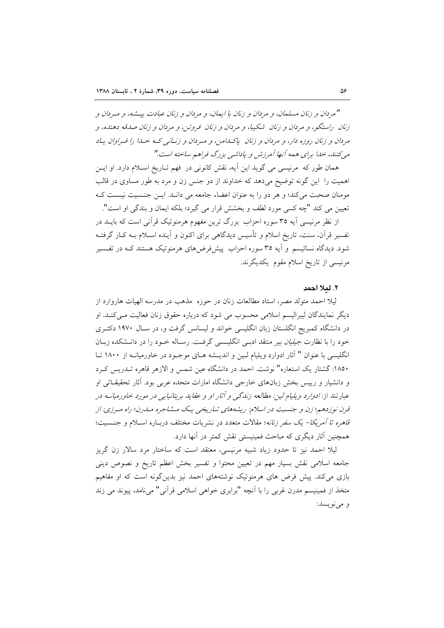"مردان و زنان مسلمان، و مردان و زنان با ایمان، و مردان و زنان عبادت پیشه، و میردان و زنان پراستگو، و مردان و زنان شکیبا، و مردان و زنان فروتن، و مردان و زنان صدقه دهنده، و مردان و زنان روزه دار، و مردان و زنان پاکسامن، و مردان و زنسانی کـه خـلا را فـراوان پـاد می کنند، حیدا برای همه آنها آمرزش و پاداشی بزرگ فراهم ساخته است."

همان طور که مرنیسی می گوید این آیه، نقش کانونی در فهم تـاریخ اسـلام دارد. او ایـن اهمیت را این گونه توضیح میدهد که خداوند از دو جنس زن و مرد به طور مساوی در قالب مومنان صحبت می کند؛ و هر دو را به عنوان اعضاء جامعه می دانـد. ایـن جنـسیت نیـست کـه تعيين مي كند "چه كسي مورد لطف و بخشش قرار مي گيرد؛ بلكه ايمان و بندگي او است".

از نظر مرنیسی اَیه ۳۵ سوره احزاب بزرگ ترین مفهوم هرمنوتیک قرانی است که بایــد در تفسیر قرآن، سنت، تاریخ اسلام و تأسیس دیدگاهی برای اکنون و آینده اسـلام بــه کـار گرفتــه شود. دیدگاه نسائیسم و آیه ۳۵ سوره احزاب پیش فرضهای هرمنوتیک هستند کـه در تفـسیر مرنیسی از تاریخ اسلام مقوم یکدیگرند.

#### ٢. لملا احمد

لیلا احمد متولد مصر، استاد مطالعات زنان در حوزه ً مذهب در مدرسه الهیات هاروارد از دیگر نمایندگان لیبرالیسم اسلامی محسوب می شود که درباره حقوق زنان فعالیت مـی کنــد. او در دانشگاه کمبریج انگلستان زبان انگلیسی خواند و لیسانس گرفت و، در سـال ۱۹۷۰ دکتـری خود را با نظارت *جیلیان بیر* منتقد ادبـی انگلیـسی گرفـت. رسـاله خـود را در دانـشکده زبـان انگلیسی با عنوان " آثار ادوارد ویلیام لـین و اندیـشه هـای موجـود در خاورمیانـه از ۱۸۰۰ تـا ۱۸۵۰: گشتار یک استعاره" نوشت. احمد در دانشگاه عین شمس و الازهر قاهره تـدریس کـرد و دانشیار و رییس بخش زبانهای خارجی دانشگاه امارات متحده عربی بود. آثار تحقیقـاتی او عبارتند از: *ادوارد ويليام لين: مطالعه زندگي و آثار او و عقايد ب*ريتاني*ايي در مورد خاورميانــه د*ر قرن نوزدهم؛ زن و جنسبت در اسلام: ریشههای تـاریخی یـک مـشاجره مـارن؛ راه مـرزی: از قاهره تا آمریکا- یک سفر زنانه؛ مقالات متعدد در نشریات مختلف دربـاره اسـلام و جنـسیت؛ همچنین آثار دیگری که مباحث فمینیستی نقش کمتر در آنها دارد.

لیلا احمد نیز تا حدود زیاد شبیه مرنیسی، معتقد است که ساختار مرد سالار زن گریز جامعه اسلامی نقش بسیار مهم در تعیین محتوا و تفسیر بخش اعظم تاریخ و نصوص دینی بازی میکند. پیش فرض های هرمنوتیک نوشتههای احمد نیز بدین گونه است که او مفاهیم متخذ از فمینیسم مدرن غربی را با آنچه "برابری خواهی اسلامی قرآنی" می نامد، پیوند می زند و مي نويسد: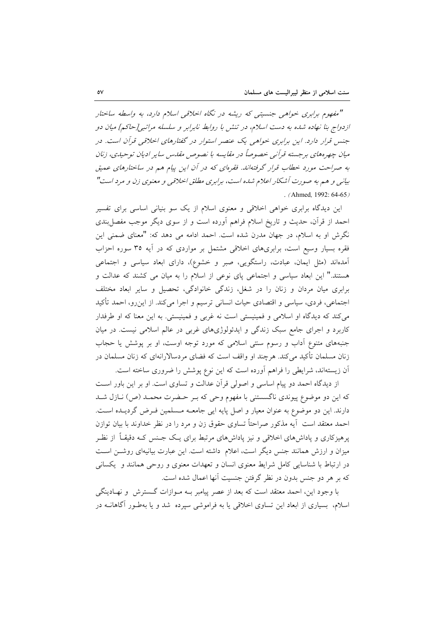"مفهوم برابری خواهی جنسیتی که ریشه در نگاه اخلاقی اسلام دارد، به واسطه ساختار ازدواج بنا نهاده شده به دست اسلام، در تنش با روابط نابرابر و سلسله مراتبی[حاکم] میان دو جنس قرار دارد. این برابری خواهی یک عنصر استوار در گفتارهای اخلاقی قرآن است. در میان چهرههای برجسته قرآنی خصوصاً در مقایسه با نصوص مقدس سایر ادیان توحیدی، زنان به صراحت مورد خطاب قرار گرفتهاند. فقرمای که در آن این پیام هم در ساختارهای عمیق بیانی و هم به صورت آشکار اعلام شده است، برابری مطلق اخلاقی و معنوی زن و مرد است" . (Ahmed, 1992:  $64-65$ )

این دیدگاه برابری خواهی اخلاقی و معنوی اسلام از یک سو بنیانی اساسی برای تفسیر احمد از قرأن، حدیث و تاریخ اسلام فراهم اَورده است و از سوی دیگر موجب مفصل بندی نگرش او به اسلام، در جهان مدرن شده است. احمد ادامه می دهد که: "معنای ضمنی این فقره بسیار وسیع است، برابریهای اخلاقی مشتمل بر مواردی که در آیه ۳۵ سوره احزاب آمدهاند (مثل ایمان، عبادت، راستگویی، صبر و خشوع)، دارای ابعاد سیاسی و اجتماعی هستند." این ابعاد سیاسی و اجتماعی پای نوعی از اسلام را به میان می کشند که عدالت و برابری میان مردان و زنان را در شغل، زندگی خانوادگی، تحصیل و سایر ابعاد مختلف اجتماعی، فردی، سیاسی و اقتصادی حیات انسانی ترسیم و اجرا میکند. از این٫و، احمد تأکید می کند که دیدگاه او اسلامی و فمینیستی است نه غربی و فمینیستی. به این معنا که او طرفدار کاربرد و اجرای جامع سبک زندگی و ایدئولوژیهای غربی در عالم اسلامی نیست. در میان جنبههای متنوع آداب و رسوم سنتی اسلامی که مورد توجه اوست، او بر پوشش یا حجاب زنان مسلمان تأکید می کند. هرچند او واقف است که فضای مردسالارانهای که زنان مسلمان در آن زیستهاند، شرایطی را فراهم آورده است که این نوع پوشش را ضروری ساخته است.

از دیدگاه احمد دو پیام اساسی و اصولی قرآن عدالت و تساوی است. او بر این باور است که این دو موضوع پیوندی ناگسستنی با مفهوم وحی که بـر حـضرت محمـد (ص) نــازل شــد دارند. این دو موضوع به عنوان معیار و اصل پایه ایی جامعـه مـسلمین فـرض گردیــده اسـت. احمد معتقد است آيه مذكور صراحتاً تساوى حقوق زن و مرد را در نظر خداوند با بيان توازن یرهیزکاری و یاداشهای اخلاقی و نیز یاداشهای مرتبط برای یـک جـنس کـه دقیقـاً از نظـر میزان و ارزش همانند جنس دیگر است، اعلام داشته است. این عبارت بیانیهای روشــز اسـت در ارتباط با شناسایی کامل شرایط معنوی انسان و تعهدات معنوی و روحی همانند و یکسانی كه بر هر دو جنس بدون در نظر گرفتن جنسيت آنها اعمال شده است.

با وجود این، احمد معتقد است که بعد از عصر پیامبر بـه مـوازات گـسترش و نهـادینگی اسلام، بسیاری از ابعاد این تساوی اخلاقی یا به فراموشی سپرده شد و یا بهطـور آگاهانــه در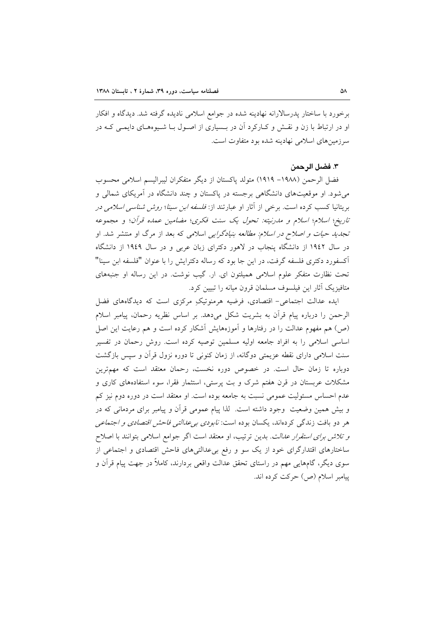برخورد با ساختار پدرسالارانه نهادینه شده در جوامع اسلامی نادیده گرفته شد. دیدگاه و افکار او در ارتباط با زن و نقـش و کـارکرد آن در بـسیاری از اصـول بـا شـیوههـای دایمـی کـه در سرزمینهای اسلامی نهادینه شده بود متفاوت است.

#### ٣. فضل الرحمن

فضل الرحمن (١٩٨٨- ١٩١٩) متولد پاكستان از ديگر متفكران ليبراليسم اسلامي محسوب می شود. او موقعیتهای دانشگاهی برجسته در پاکستان و چند دانشگاه در آمریکای شمالی و بریتانیا کسب کرده است. برخی از آثار او عبارتند از: *فلسفه ابن سینا؛ روش شناسی اسلامی در* تاريخ؛ اسلام؛ اسلام و مدرنيته: تحول يک سنت فکري؛ مضامين عمده قرآن؛ و مجموعه تج*دید حیات و اصلاح در اسلام: مطالعه بنیادگرایی* اسلامی که بعد از مرگ او منتشر شد. او در سال ۱۹٤۲ از دانشگاه پنجاب در لاهور دکترای زبان عربی و در سال ۱۹٤۹ از دانشگاه آکسفورد دکتری فلسفه گرفت، در این جا بود که رساله دکترایش را با عنوان "فلسفه ابن سینا" تحت نظارت متفکر علوم اسلامی همیلتون ای. ار. گیب نوشت. در این رساله او جنبههای متافیزیک آثار این فیلسوف مسلمان قرون میانه را تبیین کرد.

ایده عدالت اجتماعی- اقتصادی، فرضیه هرمنوتیکِ مرکزی است که دیدگاههای فضل الرحمن را درباره پیام قرآن به بشریت شکل میدهد. بر اساس نظریه رحمان، پیامبر اسلام (ص) هم مفهوم عدالت را در رفتارها و آموزههایش آشکار کرده است و هم رعایت این اصل اساسی اسلامی را به افراد جامعه اولیه مسلمین توصیه کرده است. روش رحمان در تفسیر سنت اسلامی دارای نقطه عزیمتی دوگانه، از زمان کنونی تا دوره نزول قرآن و سپس بازگشت دوباره تا زمان حال است. در خصوص دوره نخست، رحمان معتقد است که مهمترین مشکلات عربستان در قرن هفتم شرک و بت پرستی، استثمار فقرا، سوء استفادههای کاری و عدم احساس مسئولیت عمومی نسبت به جامعه بوده است. او معتقد است در دوره دوم نیز کم و بیش همین وضعیت ًوجود داشته است. لذا پیام عمومی قرآن و پیامبر برای مردمانی که در هر دو بافت زندگی کردهاند، یکسان بوده است: *نابودی بی عدالتی فاحش اقتصادی و اجتماعی* و تلا*ش برای استقرار عدالت.* بدین ترتیب، او معتقد است اگر جوامع اسلامی بتوانند با اصلاح ساختارهای اقتدارگرای خود از یک سو و رفع بیءدالتیهای فاحش اقتصادی و اجتماعی از سوی دیگر، گامهایی مهم در راستای تحقق عدالت واقعی بردارند، کاملاً در جهت پیام قرآن و ییامبر اسلام (ص) حرکت کرده اند.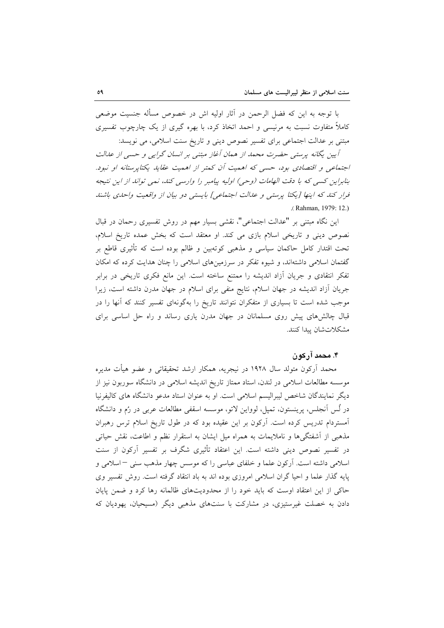با توجه به این که فضل الرحمن در آثار اولیه اش در خصوص مسأله جنسیت موضعی کاملاً متفاوت نسبت به مرنیسی و احمد اتخاذ کرد، با بهره گیری از یک چارچوب تفسیری مبتنی بر عدالت اجتماعی برای تفسیر نصوص دینی و تاریخ سنت اسلامی، می نویسد:

آپین یگانه پرستبی حضرت محمد از همان آغاز مبتنی بر انسان گرایی و حسی از عدالت اجتماعی و اقتصادی بود، حسی که اهمیت آن کمتر از اهمیت عقاید یکتایرستانه او نبود. بنابراین کسی که با دقت الهامات (وحی) اولیه پیامبر را وارسی کند، نمی تواند از این نتیجه فرار کند که اینها [یکتا پرستبی و عدالت اجتماعی] بایستبی دو بیان از واقعیت واحدی باشند .(Rahman, 1979: 12.)

این نگاه مبتنی بر "عدالت اجتماعی"، نقشی بسیار مهم در روش تفسیری رحمان در قبال نصوص دینی و تاریخی اسلام بازی می کند. او معتقد است که بخش عمده تاریخ اسلام، تحت اقتدار کامل حاکمان سیاسی و مذهبی کوتهبین و ظالم بوده است که تأثیری قاطع بر گفتمان اسلامی داشتهاند، و شیوه تفکر در سرزمینهای اسلامی را چنان هدایت کرده که امکان تفکر انتقادی و جریان أزاد اندیشه را ممتنع ساخته است. این مانع فکری تاریخی در برابر جریان آزاد اندیشه در جهان اسلام، نتایج منفی برای اسلام در جهان مدرن داشته است، زیرا موجب شده است تا بسیاری از متفکران نتوانند تاریخ را بهگونهای تفسیر کنند که آنها را در قبال چالش های پیش روی مسلمانان در جهان مدرن یاری رساند و راه حل اساسی برای مشكلاتشان يبدا كنند.

## ۴. محمد آر کو ن

محمد اَرکون متولد سال ۱۹۲۸ در نیجریه، همکار ارشد تحقیقاتی و عضو هیأت مدیره موسسه مطالعات اسلامی در لندن، استاد ممتاز تاریخ اندیشه اسلامی در دانشگاه سوربون نیز از دیگر نمایندگان شاخص لیبرالیسم اسلامی است. او به عنوان استاد مدعو دانشگاه های کالیفرنیا در لُس اَنجلس، پرینستون، تمپل، لوواین لاتو، موسسه اسقفی مطالعات عربی در رُم و دانشگاه آمستردام تدریس کرده است. آرکون بر این عقیده بود که در طول تاریخ اسلام ترس رهبران مذهبی از آشفتگی ها و ناملایمات به همراه میل ایشان به استقرار نظم و اطاعت، نقش حیاتی در تفسیر نصوص دینی داشته است. این اعتقاد تأثیری شگرف بر تفسیر آرکون از سنت اسلامی داشته است. آرکون علما و خلفای عباسی را که موسس چهار مذهب سنی –اسلامی و یایه گذار علما و احیا گران اسلامی امروزی بوده اند به باد انتقاد گرفته است. روش تفسیر وی حاکی از این اعتقاد اوست که باید خود را از محدودیتهای ظالمانه رها کرد و ضمن پایان دادن به خصلت غیرستیزی، در مشارکت با سنتهای مذهبی دیگر (مسیحیان، یهودیان که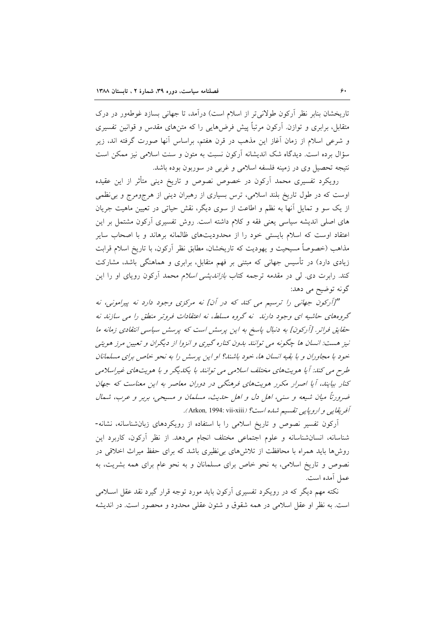تاریخشان بنابر نظر اَرکون طولانی تر از اسلام است) درآمد، تا جهانی بسازد غوطهور در درک متقابل، برابری و توازن. آرکون مرتباً پیش فرضهایی را که متنهای مقدس و قوانین تفسیری و شرعی اسلام از زمان آغاز این مذهب در قرن هفتم، براساس آنها صورت گرفته اند، زیر سؤال برده است. دیدگاه شک اندیشانه آرکون نسبت به متون و سنت اسلامی نیز ممکن است نتيجه تحصيل وي در زمينه فلسفه اسلامي و غربي در سوربون بوده باشد.

رویکرد تفسیری محمد اَرکون در خصوص نصوص و تاریخ دینی متأثر از این عقیده اوست که در طول تاریخ بلند اسلامی، ترس بسیاری از رهبران دینی از هرجومرج و بی نظمی از یک سو و تمایل آنها به نظم و اطاعت از سوی دیگر، نقش حیاتی در تعیین ماهیت جریان های اصلی اندیشه سیاسی یعنی فقه و کلام داشته است. روش تفسیری آرکون مشتمل بر این اعتقاد اوست که اسلام بایستی خود را از محدودیتهای ظالمانه برهاند و با اصحاب سایر مذاهب (خصوصاً مسیحیت و یهودیت که تاریخشان، مطابق نظر آرکون، با تاریخ اسلام قرابت زیادی دارد) در تأسیس جهانی که مبتنی بر فهم متقابل، برابری و هماهنگی باشد، مشارکت کند. رابرت دی. ل<sub>ی</sub> در مقدمه ترجمه کتاب *بازاندیشی اسلام* محمد آرکون رویای او را این گونه توضيح مي دهد:

"[آركون جهاني را ترسيم مي كند كه در آن] نه مركزي وجود دارد نه پيراموني، نه گروههای حاشیه ای وجود دارند نه گروه مسلط، نه اعتقادات فروتر منطق را می سازند نه حقایق فراتر. [آرکون] به دنبال پاسخ به این پرسش است که پرسش سیاسی انتقادی زمانه ما نیز هست: انسان ها چگونه می توانند بدون کناره گیری و انزوا از دیگران و تعیین مرز هویتی خود با مجاوران و با بقیه انسان ها، خود باشند؟ او این پرسش را به نحو خاص برای مسلمانان طرح می کند: آیا هویتهای مختلف اسلامی می توانند با یکدیگر و با هویتهای غیراسلامی کنار بیایند، آیا اصرار مکرر هویتهای فرهنگی در دوران معاصر به این معناست که جهان ضرورتاً میان شیعه و سنی، اهل دل و اهل حدیث، مسلمان و مسیحی، بربر و عرب، شمال آفريقايي و اروپايي تقسيم شده است؟ (Arkon, 1994: vii-xiii).

آرکون تفسیر نصوص و تاریخ اسلامی را با استفاده از رویکردهای زبانشناسانه، نشانه-شناسانه، انسانشناسانه و علوم اجتماعی مختلف انجام می،دهد. از نظر آرکون، کاربرد این روشها باید همراه با محافظت از تلاشهای بی نظیری باشد که برای حفظ میراث اخلاقی در نصوص و تاریخ اسلامی، به نحو خاص برای مسلمانان و به نحو عام برای همه بشریت، به عمل أمده است.

نکته مهم دیگر که در رویکرد تفسیری آرکون باید مورد توجه قرار گیرد نقد عقل اسـلامی است. به نظر او عقل اسلامی در همه شقوق و شئون عقلی محدود و محصور است. در اندیشه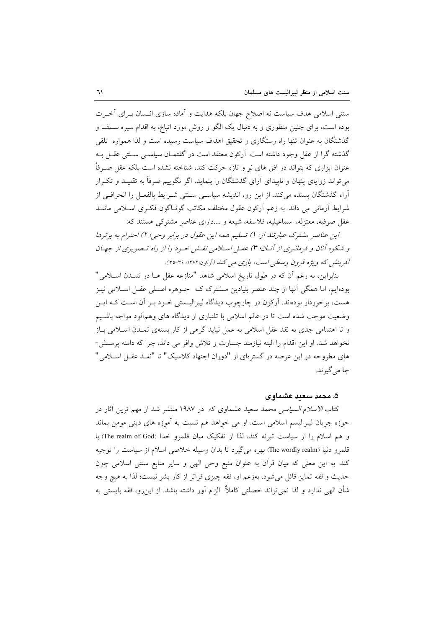سنتی اسلامی هدف سیاست نه اصلاح جهان بلکه هدایت و آماده سازی انـسان بـرای آخـرت بوده است، برای چنین منظوری و به دنبال یک الگو و روش مورد اتباع، به اقدام سیره سـلف و گذشتگان به عنوان تنها راه رستگاری و تحقیق اهداف سیاست رسیده است و لذا همواره تلقی گذشته گرا از عقل وجود داشته است. آرکون معتقد است در گفتمـان سیاسـی سـنتی عقـل بـه عنوان ابزاری که بتواند در افق های نو و تازه حرکت کند، شناخته نشده است بلکه عقل صـرفاً میتواند زوایای پنهان و ناپیدای آرای گذشتگان را بنماید، اگر نگوییم صرفاً به تقلیـد و تکـرار آراء گذشتگان بسنده میکند. از این رو، اندیشه سیاسی سـنتی شـرایط بالفعـل را انحرافـی از شرايط آرماني مي داند. به زعم آركون عقول مختلف مكاتب گونــاگون فكـرى اســلامي ماننــد عقل صوفیه، معتزله، اسماعیلیه، فلاسفه، شیعه و ....دارای عناصر مشترکی هستند که:

این عناصر مشترک عبارتند از: 1) تسلیم همه این عقول در برابر وحی؛ ٢) احترام به برترها و شکوهِ آنان و فرمانبری از آنیان؛ ۳) عقبل اسپلامی نقش خبود را از راه تبصویری از جهبان آفرینش که ویژه قرون وسطی است، بازی می کند (آرکون،١٣٧٢: ٣٤-٣٥).

بنابراین، به رغم آن که در طول تاریخ اسلامی شاهد "منازعه عقل هـا در تمـدن اسـلامی" بودهایم، اما همگی آنها از چند عنصر بنیادین مــشترک کــه جــوهره اصــلی عقــل اســلامی نیــز هست، برخوردار بودهاند. آرکون در چارچوب دیدگاه لیبرالیـستی خـود بـر آن اسـت کـه ایـن وضعیت موجب شده است تا در عالم اسلامی با تلنباری از دیدگاه های وهمألود مواجه باشـیم و تا اهتمامی جدی به نقد عقل اسلامی به عمل نیاید گرهی از کار بستهی تمـدن اسـلامی بـاز نخواهد شد. او این اقدام را البته نیازمند جسارت و تلاش وافر می داند، چرا که دامنه پرسش-های مطروحه در این عرصه در گسترمای از "دوران اجتهاد کلاسیک" تا "نقـد عقـل اسـلامی" جا مي گير ند.

#### ۵. محمد سعید عشماوی

کتاب *الاسلام السیاسی محمد سعید عشماوی که* در ۱۹۸۷ منتشر شد از مهم ترین آثار در حوزه جریان لیبرالیسم اسلامی است. او می خواهد هم نسبت به آموزه های دینی مومن بماند و هم اسلام را از سیاست تبرئه کند. لذا از تفکیک میان قلمرو خدا (The realm of God) با قلمرو دنيا (The wordly realm) بهره مي گيرد تا بدان وسيله خلاصي اسلام از سياست را توجيه کند. به این معنی که میان قرآن به عنوان منبع وحی الهی و سایر منابع سنتی اسلامی چون حديث و فقه تمايز قائل مي شود. بهزعم او، فقه چيزي فراتر از كار بشر نيست؛ لذا به هيچ وجه شأن الهی ندارد و لذا نمی تواند خصلتی کاملاً ۖ الزام اَور داشته باشد. از این٫رو، فقه بایستی به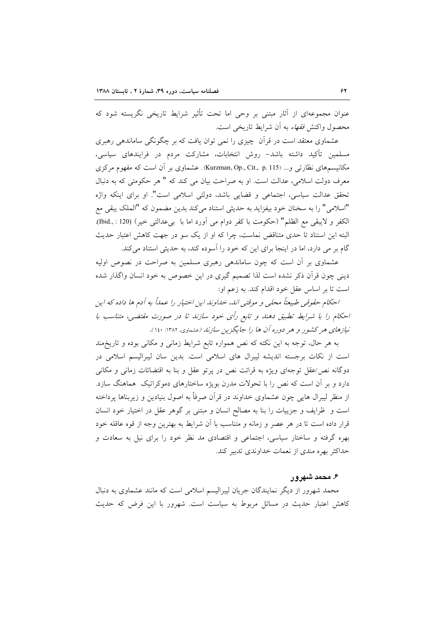عنوان مجموعهای از آثار مبتنی بر وحی اما تحت تأثیر شرایط تاریخی نگریسته شود که محصول واکنش *فقهاء* به آن شرایط تاریخی است.

عشماوی معتقد است در قرآن چیزی را نمی توان یافت که بر چگونگی ساماندهی رهبری مسلمین تأکید داشته باشد– روش انتخابات، مشارکت مردم در فرایندهای سیاسی، مکانیسمهای نظارتی و… (Kurzman, Op., Cit., p. 115) . عشماوی بر آن است که مفهوم مرکزی معرف دولت اسلامی، عدالت است. او به صراحت بیان می کند که " هر حکومتی که به دنبال تحقق عدالت سیاسی، اجتماعی و قضایی باشد، دولتی اسلامی است". او برای اینکه واژه "اسلامی" را به سخنان خود بیفزاید به حدیثی استناد میکند بدین مضمون که "الملک یبقی مع الكفر و لايبقى مع الظلم" (حكومت با كفر دوام مى أورد اما با بىعدالتى خير) (Ibid., : 120). البته این استناد تا حدی متناقض نماست، چرا که او از یک سو در جهت کاهش اعتبار حدیث گام بر می دارد، اما در اینجا برای این که خود را آسوده کند، به حدیثی استناد می کند.

عشماوی بر آن است که چون ساماندهی رهبری مسلمین به صراحت در نصوص اولیه دینی چون قرآن ذکر نشده است لذا تصمیم گیری در این خصوص به خود انسان واگذار شده است تا بر اساس عقل خود اقدام کند. به زعم او:

احکام حقوقبی طبیعتاً محلبی و موقتبی اند، خداوند این اختیار را عمداً به آدم ها داده که این احکام را با شرایط تطبیق دهند و تابع رأی خود سازند تا در صورت مقتضی، متناسب با نیازهای هر کشور و هر دوره آن ها را جایگزین سازند (عشماوی، ۱۳۸۲: ۱٤٠).

به هر حال، توجه به این نکته که نص همواره تابع شرایط زمانی و مکانی بوده و تاریخهند است از نکات برجسته اندیشه لیبرال های اسلامی است. بدین سان لیبرالیسم اسلامی در دوگانه نص/عقل توجهای ویژه به قرائت نص در پرتو عقل و بنا به اقتضائات زمانی و مکانی دارد و بر آن است که نص را با تحولات مدرن بویژه ساختارهای دموکراتیک ًهماهنگ سازد. از منظر لیبرال هایی چون عشماوی خداوند در قرآن صرفاً به اصول بنیادین و زیربناها پرداخته است و ظرایف و جزییات را بنا به مصالح انسان و مبتنی بر گوهر عقل در اختیار خود انسان قرار داده است تا در هر عصر و زمانه و متناسب با آن شرایط به بهترین وجه از قوه عاقله خود بهره گرفته و ساختار سیاسی، اجتماعی و اقتصادی مد نظر خود را برای نیل به سعادت و حداکثر بهره مندی از نعمات خداوندی تدبیر کند.

## ۶. محمد شهرور

محمد شهرور از دیگر نمایندگان جریان لیبرالیسم اسلامی است که مانند عشماوی به دنبال کاهش اعتبار حدیث در مسائل مربوط به سیاست است. شهرور با این فرض که حدیث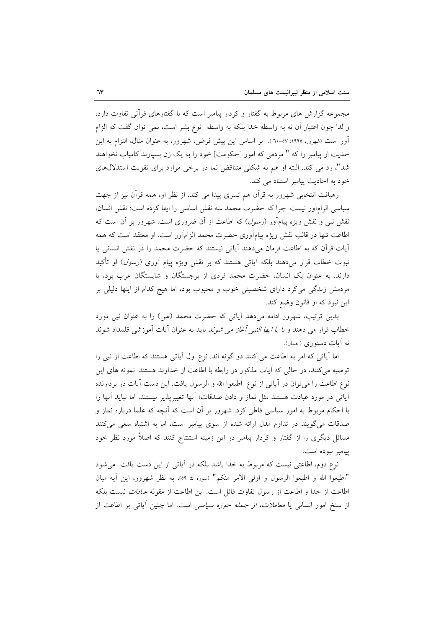مجموعه گزارش های مربوط به گفتار و کردار پیامبر است که با گفتارهای قرأنی تفاوت دارد، و لذا چون اعتبار أن نه به واسطه خدا بلكه به واسطه نوع بشر است، نمى توان گفت كه الزام أور است (شهرور، ۱۹۹۰: ۰۷-۳۰). بر اساس این پیش فرض، شهرور، به عنوان مثال، التزام به این حدیث از پیامبر را که " مردمی که امور [حکومت] خود را به یک زن بسیارند کامیاب نخواهند شد"، رد می کند. البته او هم به شکلی متناقض نما در برخی موارد برای تقویت استدلالهای خود به احادیث پیامبر استناد می کند.

رهیافت انتخابی شهرور به قرأن هم تسری پیدا می کند. از نظر او، همه قرأن نیز از جهت سياسي الزامآور نيست. چرا كه حضرت محمد سه نقش اساسي را ايفا كرده است: نقش انسان، نقش نبی و نقش ویژه پیامآور (*رسول*) که اطاعت از آن ضروری است. شهرور بر آن است که اطاعت تنها در قالب نقش ویژه پیامآوری حضرت محمد الزامآور است. او معتقد است که همه آيات قرآن كه به اطاعت فرمان مى دهند آياتى نيستند كه حضرت محمد را در نقش انسانى يا نبوت خطاب قرار میدهند بلکه اَیات<sub>ی</sub> هستند که بر نقش ویژه پیام اَوری *(رسول*) او تأکید دارند. به عنوان یک انسان، حضرت محمد فردی از برجستگان و شایستگان عرب بود، با مردمش زندگی میکرد دارای شخصیتی خوب و محبوب بود، اما هیچ کدام از اینها دلیلی بر این نبود که او قانون وضع کند.

بدین ترتیب، شهرور ادامه میدهد آیاتی که حضرت محمد (ص) را به عنوان نبی مورد خطاب قرار می دهند و *با یا ایها النبی آغاز می شوند* باید به عنوان آیات آموزشی قلمداد شوند نه آيات دستوري ( همان).

اما آیاتی که امر به اطاعت می کنند دو گونه اند. نوع اول آیاتی هستند که اطاعت از نبی را توصیه میکنند، در حالی که آیات مذکور در رابطه با اطاعت از خداوند هستند. نمونه های این نوع اطاعت را می توان در آیاتی از نوع اطیعوا الله و الرسول یافت. این دست آیات در بردارنده آياتي در مورد عبادت هستند مثل نماز و دادن صدقات؛ آنها تغييريذير نيستند، اما نبايد آنها را با احکام مربوط به امور سیاسی قاطی کرد. شهرور بر آن است که آنچه که علما درباره نماز و صدقات می گویند در تداوم مدل ارائه شده از سوی پیامبر است، اما به اشتباه سعی می کنند مسائل دیگری را از گفتار و کردار پیامبر در این زمینه استنتاج کنند که اصلاً مورد نظر خود ييامبر نبوده است.

نوع دوم، اطاعتی نیست که مربوط به خدا باشد بلکه در آیاتی از این دست یافت می شود "اطيعوا الله و اطيعوا الرسول و اولي الامر منكم" (سوره ٤: ٥٩). به نظر شهرور، اين أيه ميان اطاعت از خدا و اطاعت از رسول تفاوت قائل است. این اطاعت از مقوله *عبادات* نیست بلکه از سنخ امور انسانی یا *معاملات، از جمله حوزه سیاسی* است. اما چنین آیاتی بر اطاعت از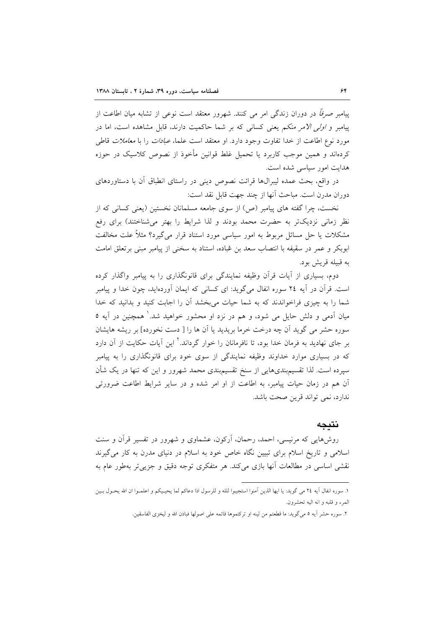پیامبر صرفاً در دوران زندگی امر می کنند. شهرور معتقد است نوعی از تشابه میان اطاعت از پیامبر و *اولی الامر منکم* یعنی کسانی که بر شما حاکمیت دارند، قابل مشاهده است، اما در مورد نوع اطاعت از خدا تفاوت وجود دارد. او معتقد است علما، *عبادات* را با *معاملات* قاطی کردهاند و همین موجب کاربرد یا تحمیل غلط قوانین مأخوذ از نصوص کلاسیک در حوزه هدایت امور سیاسی شده است.

در واقع، بحث عمده لیبرال&ا قرائت نصوص دینی در راستای انطباق آن با دستاوردهای دوران مدرن است. مباحث آنها از چند جهت قابل نقد است:

نخست، چرا گفته های پیامبر (ص) از سوی جامعه مسلمانان نخستین (یعنی کسانی که از نظر زمانی نزدیکتر به حضرت محمد بودند و لذا شرایط را بهتر میشناختند) برای رفع مشکلات یا حل مسائل مربوط به امور سیاسی مورد استناد قرار میگیرد؟ مثلاً علت مخالفت ابوبکر و عمر در سقیفه با انتصاب سعد بن عُباده، استناد به سخنی از پیامبر مبنی بر تعلق امامت به قبيله قريش بود.

دوم، بسیاری از آیات قرآن وظیفه نمایندگی برای قانونگذاری را به پیامبر واگذار کرده است. قرآن در آیه ٢٤ سوره انفال میگوید: ای کسانی که ایمان آوردهاید، چون خدا و پیامبر شما را به چیزی فراخواندند که به شما حیات میبخشد آن را اجابت کنید و بدانید که خدا میان اَدمی و دلش حایل می شود، و هم در نزد او محشور خواهید شد.<sup>ا</sup> همچنین در اَیه ٥ سوره حشر می گوید آن چه درخت خرما بریدید یا آن ها را [ دست نخورده] بر ریشه هایشان بر جای نهادید به فرمان خدا بود، تا نافرمانان را خوار گرداند.<sup>۲</sup> این آیات حکایت از آن دارد که در بسیاری موارد خداوند وظیفه نمایندگی از سوی خود برای قانونگذاری را به پیامبر سپرده است. لذا تقسیمبندیهایی از سنخ تقسیمبندی محمد شهرور و این که تنها در یک شأن آن هم در زمان حیات پیامبر، به اطاعت از او امر شده و در سایر شرایط اطاعت ضرورتی ندارد، نمي تواند قرين صحت باشد.

#### نتىحە

روشهایی که مرنیسی، احمد، رحمان، اَرکون، عشماوی و شهرور در تفسیر قرآن و سنت اسلامی و تاریخ اسلام برای تبیین نگاه خاص خود به اسلام در دنیای مدرن به کار می گیرند نقشی اساسی در مطالعات آنها بازی می کند. هر متفکری توجه دقیق و جزیی تر بهطور عام به

١. سوره انفال أيه ٢٤ مي گويد: يا ايها الذين أمنوا استجيبوا للله و للرسول اذا دعاكم لما يحيـيكم و اعلمــوا ان الله يحــول بــين المرء و قلبه و انه اليه تحشرون.

٢. سوره حشر أيه ٥ مى گويد: ما قطعتم من لينه او تركتموها قائمه على اصولها فباذن الله و ليخزى الفاسقين.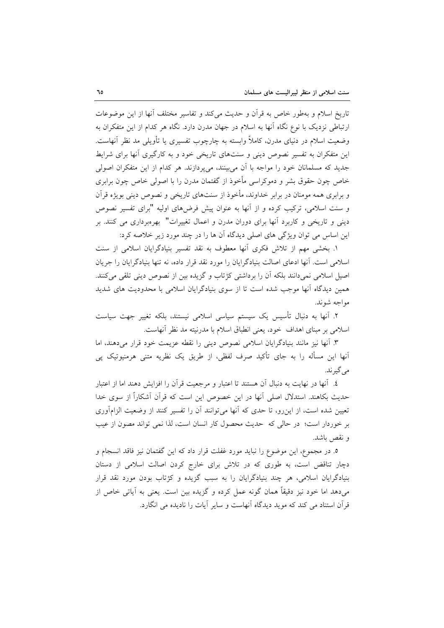تاریخ اسلام و بهطور خاص به قرأن و حدیث میکند و تفاسیر مختلف أنها از این موضوعات ارتباطی نزدیک با نوع نگاه آنها به اسلام در جهان مدرن دارد. نگاه هر کدام از این متفکران به وضعیت اسلام در دنیای مدرن، کاملاً وابسته به چارچوب تفسیری یا تأویلی مد نظر آنهاست. این متفکران به تفسیر نصوص دینی و سنتهای تاریخی خود و به کارگیری آنها برای شرایط جدید که مسلمانان خود را مواجه با آن می بینند، می پردازند. هر کدام از این متفکران اصولی خاص چون حقوق بشر و دموکراسی مأخوذ از گفتمان مدرن را با اصولی خاص چون برابری و برابری همه مومنان در برابر خداوند، مأخوذ از سنتهای تاریخی و نصوص دینی بویژه قرآن و سنت اسلامی، ترکیب کرده و از آنها به عنوان پیش فرضهای اولیه "برای تفسیر نصوص دینی و تاریخی و کاربرد آنها برای دوران مدرن و اعمال تغییرات" بهرهبرداری می کنند. بر این اساس می توان ویژگی های اصلی دیدگاه آن ها را در چند مورد زیر خلاصه کرد:

۱. بخشی مهم از تلاش فکری آنها معطوف به نقد تفسیر بنیادگرایان اسلامی از سنت اسلامی است. آنها ادعای اصالت بنیادگرایان را مورد نقد قرار داده، نه تنها بنیادگرایان را جریان اصیل اسلامی نمیدانند بلکه آن را برداشتی کژتاب و گزیده بین از نصوص دینی تلقی میکنند. همین دیدگاه آنها موجب شده است تا از سوی بنیادگرایان اسلامی با محدودیت های شدید مواجه شوند.

٢. آنها به دنبال تأسیس یک سیستم سیاسی اسلامی نیستند، بلکه تغییر جهت سیاست اسلامی بر مبنای اهداف خود، یعنی انطباق اسلام با مدرنیته مد نظر آنهاست.

٣. أنها نيز مانند بنيادگرايان اسلامي نصوص ديني را نقطه عزيمت خود قرار مي دهند، اما آنها این مسأله را به جای تأکید صرف لفظی، از طریق یک نظریه متنی هرمنیوتیک پی مي گير ند.

٤. أنها در نهايت به دنبال أن هستند تا اعتبار و مرجعيت قرأن را افزايش دهند اما از اعتبار حديث بكاهند. استدلال اصلي أنها در اين خصوص اين است كه قرأن أشكاراً از سوى خدا تعیین شده است، از این رو، تا حدی که آنها میتوانند آن را تفسیر کنند از وضعیت الزامآوری بر خوردار است؛ در حالي كه حديث محصول كار انسان است، لذا نمي تواند مصون از عيب و نقص باشد.

٥. در مجموع، اين موضوع را نبايد مورد غفلت قرار داد كه اين گفتمان نيز فاقد انسجام و دچار تناقض است، به طوری که در تلاش برای خارج کردن اصالت اسلامی از دستان بنیادگرایان اسلامی، هر چند بنیادگرایان را به سبب گزیده و کژتاب بودن مورد نقد قرار می،دهد اما خود نیز دقیقاً همان گونه عمل کرده و گزیده بین است. یعنی به آیاتی خاص از قرآن استناد می کند که موید دیدگاه آنهاست و سایر آیات را نادیده می انگارد.